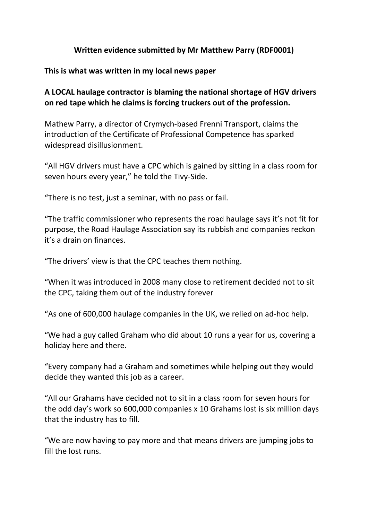## **Written evidence submitted by Mr Matthew Parry (RDF0001)**

## **This is what was written in my local news paper**

**A LOCAL haulage contractor is blaming the national shortage of HGV drivers on red tape which he claims is forcing truckers out of the profession.**

Mathew Parry, a director of Crymych-based Frenni Transport, claims the introduction of the Certificate of Professional Competence has sparked widespread disillusionment.

"All HGV drivers must have a CPC which is gained by sitting in a class room for seven hours every year," he told the Tivy-Side.

"There is no test, just a seminar, with no pass or fail.

"The traffic commissioner who represents the road haulage says it's not fit for purpose, the Road Haulage Association say its rubbish and companies reckon it's a drain on finances.

"The drivers' view is that the CPC teaches them nothing.

"When it was introduced in 2008 many close to retirement decided not to sit the CPC, taking them out of the industry forever

"As one of 600,000 haulage companies in the UK, we relied on ad-hoc help.

"We had a guy called Graham who did about 10 runs a year for us, covering a holiday here and there.

"Every company had a Graham and sometimes while helping out they would decide they wanted this job as a career.

"All our Grahams have decided not to sit in a class room for seven hours for the odd day's work so 600,000 companies x 10 Grahams lost is six million days that the industry has to fill.

"We are now having to pay more and that means drivers are jumping jobs to fill the lost runs.